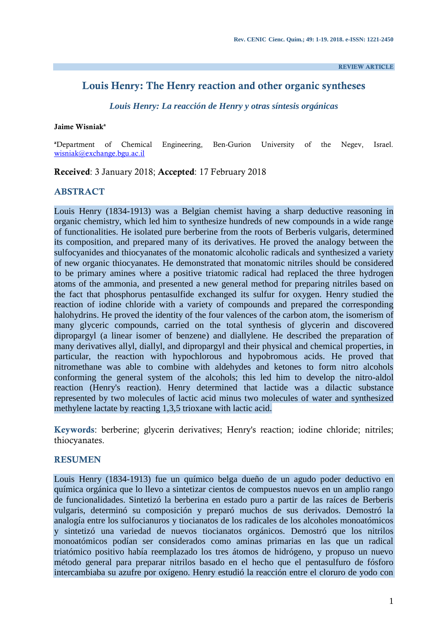**REVIEW ARTICLE**

# **Louis Henry: The Henry reaction and other organic syntheses**

*Louis Henry: La reacción de Henry y otras síntesis orgánicas*

#### **Jaime Wisniak<sup>a</sup>**

**<sup>a</sup>**Department of Chemical Engineering, Ben-Gurion University of the Negev, Israel. [wisniak@exchange.bgu.ac.il](mailto:wisniak@bgu.ac.il)

**Received**: 3 January 2018; **Accepted**: 17 February 2018

# **ABSTRACT**

Louis Henry (1834-1913) was a Belgian chemist having a sharp deductive reasoning in organic chemistry, which led him to synthesize hundreds of new compounds in a wide range of functionalities. He isolated pure berberine from the roots of Berberis vulgaris, determined its composition, and prepared many of its derivatives. He proved the analogy between the sulfocyanides and thiocyanates of the monatomic alcoholic radicals and synthesized a variety of new organic thiocyanates. He demonstrated that monatomic nitriles should be considered to be primary amines where a positive triatomic radical had replaced the three hydrogen atoms of the ammonia, and presented a new general method for preparing nitriles based on the fact that phosphorus pentasulfide exchanged its sulfur for oxygen. Henry studied the reaction of iodine chloride with a variety of compounds and prepared the corresponding halohydrins. He proved the identity of the four valences of the carbon atom, the isomerism of many glyceric compounds, carried on the total synthesis of glycerin and discovered dipropargyl (a linear isomer of benzene) and diallylene. He described the preparation of many derivatives allyl, diallyl, and dipropargyl and their physical and chemical properties, in particular, the reaction with hypochlorous and hypobromous acids. He proved that nitromethane was able to combine with aldehydes and ketones to form nitro alcohols conforming the general system of the alcohols; this led him to develop the nitro-aldol reaction (Henry's reaction). Henry determined that lactide was a dilactic substance represented by two molecules of lactic acid minus two molecules of water and synthesized methylene lactate by reacting 1,3,5 trioxane with lactic acid.

**Keywords**: berberine; glycerin derivatives; Henry's reaction; iodine chloride; nitriles; thiocyanates.

#### **RESUMEN**

Louis Henry (1834-1913) fue un químico belga dueño de un agudo poder deductivo en química orgánica que lo llevo a sintetizar cientos de compuestos nuevos en un amplio rango de funcionalidades. Sintetizó la berberina en estado puro a partir de las raíces de Berberis vulgaris, determinó su composición y preparó muchos de sus derivados. Demostró la analogía entre los sulfocianuros y tiocianatos de los radicales de los alcoholes monoatómicos y sintetizó una variedad de nuevos tiocianatos orgánicos. Demostró que los nitrilos monoatómicos podían ser considerados como aminas primarias en las que un radical triatómico positivo había reemplazado los tres átomos de hidrógeno, y propuso un nuevo método general para preparar nitrilos basado en el hecho que el pentasulfuro de fósforo intercambiaba su azufre por oxígeno. Henry estudió la reacción entre el cloruro de yodo con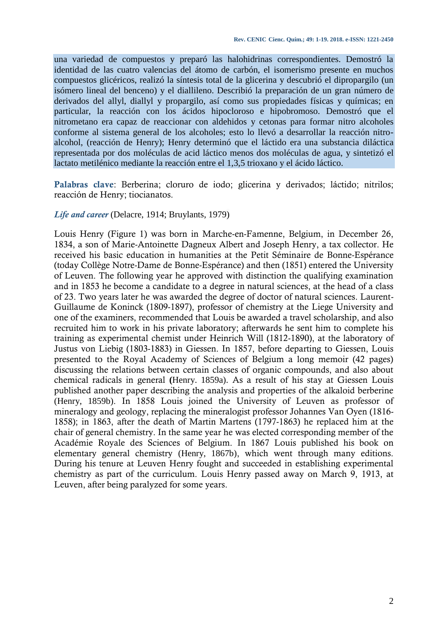una variedad de compuestos y preparó las halohidrinas correspondientes. Demostró la identidad de las cuatro valencias del átomo de carbón, el isomerismo presente en muchos compuestos glicéricos, realizó la síntesis total de la glicerina y descubrió el dipropargilo (un isómero lineal del benceno) y el diallileno. Describió la preparación de un gran número de derivados del allyl, diallyl y propargilo, así como sus propiedades físicas y químicas; en particular, la reacción con los ácidos hipocloroso e hipobromoso. Demostró que el nitrometano era capaz de reaccionar con aldehidos y cetonas para formar nitro alcoholes conforme al sistema general de los alcoholes; esto lo llevó a desarrollar la reacción nitroalcohol, (reacción de Henry); Henry determinó que el láctido era una substancia diláctica representada por dos moléculas de acid láctico menos dos moléculas de agua, y sintetizó el lactato metilénico mediante la reacción entre el 1,3,5 trioxano y el ácido láctico.

**Palabras clave**: Berberina; cloruro de iodo; glicerina y derivados; láctido; nitrilos; reacción de Henry; tiocianatos.

#### *Life and career* (Delacre, 1914; Bruylants, 1979)

Louis Henry (Figure 1) was born in Marche-en-Famenne, Belgium, in December 26, 1834, a son of Marie-Antoinette Dagneux Albert and Joseph Henry, a tax collector. He received his basic education in humanities at the Petit Séminaire de Bonne-Espérance (today Collège Notre-Dame de Bonne-Espérance) and then (1851) entered the University of Leuven. The following year he approved with distinction the qualifying examination and in 1853 he become a candidate to a degree in natural sciences, at the head of a class of 23. Two years later he was awarded the degree of doctor of natural sciences. Laurent-Guillaume de Koninck (1809-1897), professor of chemistry at the Liege University and one of the examiners, recommended that Louis be awarded a travel scholarship, and also recruited him to work in his private laboratory; afterwards he sent him to complete his training as experimental chemist under Heinrich Will (1812-1890), at the laboratory of Justus von Liebig (1803-1883) in Giessen. In 1857, before departing to Giessen, Louis presented to the Royal Academy of Sciences of Belgium a long memoir (42 pages) discussing the relations between certain classes of organic compounds, and also about chemical radicals in general **(**Henry. 1859a). As a result of his stay at Giessen Louis published another paper describing the analysis and properties of the alkaloid berberine (Henry, 1859b). In 1858 Louis joined the University of Leuven as professor of mineralogy and geology, replacing the mineralogist professor Johannes Van Oyen (1816- 1858); in 1863, after the death of Martin Martens (1797-1863) he replaced him at the chair of general chemistry. In the same year he was elected corresponding member of the Académie Royale des Sciences of Belgium. In 1867 Louis published his book on elementary general chemistry (Henry, 1867b), which went through many editions. During his tenure at Leuven Henry fought and succeeded in establishing experimental chemistry as part of the curriculum. Louis Henry passed away on March 9, 1913, at Leuven, after being paralyzed for some years.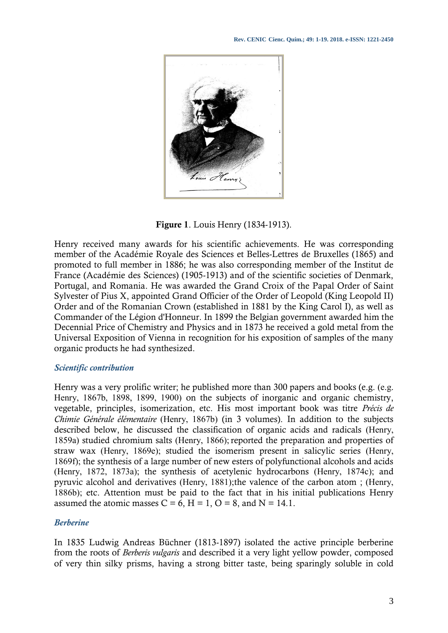

**Figure 1**. Louis Henry (1834-1913).

Henry received many awards for his scientific achievements. He was corresponding member of the Académie Royale des Sciences et Belles-Lettres de Bruxelles (1865) and promoted to full member in 1886; he was also corresponding member of the Institut de France (Académie des Sciences) (1905-1913) and of the scientific societies of Denmark, Portugal, and Romania. He was awarded the Grand Croix of the Papal Order of Saint Sylvester of Pius X, appointed Grand Officier of the Order of Leopold (King Leopold II) Order and of the Romanian Crown (established in 1881 by the King Carol I), as well as Commander of the Légion d'Honneur. In 1899 the Belgian government awarded him the Decennial Price of Chemistry and Physics and in 1873 he received a gold metal from the Universal Exposition of Vienna in recognition for his exposition of samples of the many organic products he had synthesized.

# *Scientific contribution*

Henry was a very prolific writer; he published more than 300 papers and books (e.g. (e.g. Henry, 1867b, 1898, 1899, 1900) on the subjects of inorganic and organic chemistry, vegetable, principles, isomerization, etc. His most important book was titre *Précis de Chimie Générale élémentaire* (Henry, 1867b) (in 3 volumes). In addition to the subjects described below, he discussed the classification of organic acids and radicals (Henry, 1859a) studied chromium salts (Henry, 1866); reported the preparation and properties of straw wax (Henry, 1869e); studied the isomerism present in salicylic series (Henry, 1869f); the synthesis of a large number of new esters of polyfunctional alcohols and acids (Henry, 1872, 1873a); the synthesis of acetylenic hydrocarbons (Henry, 1874c); and pyruvic alcohol and derivatives (Henry, 1881);the valence of the carbon atom ; (Henry, 1886b); etc. Attention must be paid to the fact that in his initial publications Henry assumed the atomic masses  $C = 6$ ,  $H = 1$ ,  $O = 8$ , and  $N = 14.1$ .

# *Berberine*

In 1835 Ludwig Andreas Büchner (1813-1897) isolated the active principle berberine from the roots of *Berberis vulgaris* and described it a very light yellow powder, composed of very thin silky prisms, having a strong bitter taste, being sparingly soluble in cold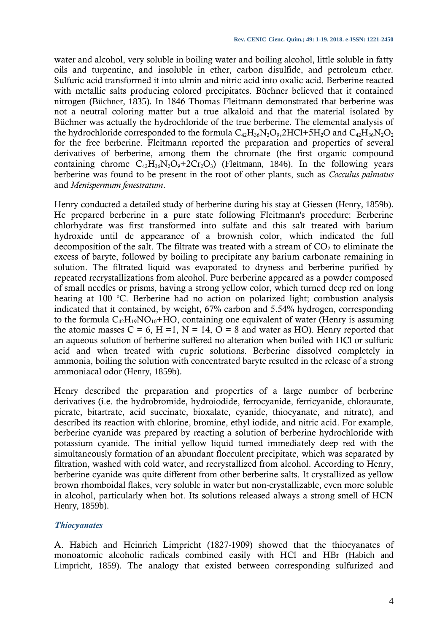water and alcohol, very soluble in boiling water and boiling alcohol, little soluble in fatty oils and turpentine, and insoluble in ether, carbon disulfide, and petroleum ether. Sulfuric acid transformed it into ulmin and nitric acid into oxalic acid. Berberine reacted with metallic salts producing colored precipitates. Büchner believed that it contained nitrogen (Büchner, 1835). In 1846 Thomas Fleitmann demonstrated that berberine was not a neutral coloring matter but a true alkaloid and that the material isolated by Büchner was actually the hydrochloride of the true berberine. The elemental analysis of the hydrochloride corresponded to the formula  $C_{42}H_{36}N_2O_{9}$ ,  $2HCl+5H_2O$  and  $C_{42}H_{36}N_2O_2$ for the free berberine. Fleitmann reported the preparation and properties of several derivatives of berberine, among them the chromate (the first organic compound containing chrome  $C_{42}H_{36}N_2O_9+2Cr_2O_3$ ) (Fleitmann, 1846). In the following years berberine was found to be present in the root of other plants, such as *Cocculus palmatus* and *Menispermum fenestratum*.

Henry conducted a detailed study of berberine during his stay at Giessen (Henry, 1859b). He prepared berberine in a pure state following Fleitmann's procedure: Berberine chlorhydrate was first transformed into sulfate and this salt treated with barium hydroxide until de appearance of a brownish color, which indicated the full decomposition of the salt. The filtrate was treated with a stream of  $CO<sub>2</sub>$  to eliminate the excess of baryte, followed by boiling to precipitate any barium carbonate remaining in solution. The filtrated liquid was evaporated to dryness and berberine purified by repeated recrystallizations from alcohol. Pure berberine appeared as a powder composed of small needles or prisms, having a strong yellow color, which turned deep red on long heating at 100  $\degree$ C. Berberine had no action on polarized light; combustion analysis indicated that it contained, by weight, 67% carbon and 5.54% hydrogen, corresponding to the formula  $C_{42}H_{19}NO_{10}+HO$ , containing one equivalent of water (Henry is assuming the atomic masses  $C = 6$ ,  $H = 1$ ,  $N = 14$ ,  $O = 8$  and water as HO). Henry reported that an aqueous solution of berberine suffered no alteration when boiled with HCl or sulfuric acid and when treated with cupric solutions. Berberine dissolved completely in ammonia, boiling the solution with concentrated baryte resulted in the release of a strong ammoniacal odor (Henry, 1859b).

Henry described the preparation and properties of a large number of berberine derivatives (i.e. the hydrobromide, hydroiodide, ferrocyanide, ferricyanide, chloraurate, picrate, bitartrate, acid succinate, bioxalate, cyanide, thiocyanate, and nitrate), and described its reaction with chlorine, bromine, ethyl iodide, and nitric acid. For example, berberine cyanide was prepared by reacting a solution of berberine hydrochloride with potassium cyanide. The initial yellow liquid turned immediately deep red with the simultaneously formation of an abundant flocculent precipitate, which was separated by filtration, washed with cold water, and recrystallized from alcohol. According to Henry, berberine cyanide was quite different from other berberine salts. It crystallized as yellow brown rhomboidal flakes, very soluble in water but non-crystallizable, even more soluble in alcohol, particularly when hot. Its solutions released always a strong smell of HCN Henry, 1859b).

# *Thiocyanates*

A. Habich and Heinrich Limpricht (1827-1909) showed that the thiocyanates of monoatomic alcoholic radicals combined easily with HCl and HBr (Habich and Limpricht, 1859). The analogy that existed between corresponding sulfurized and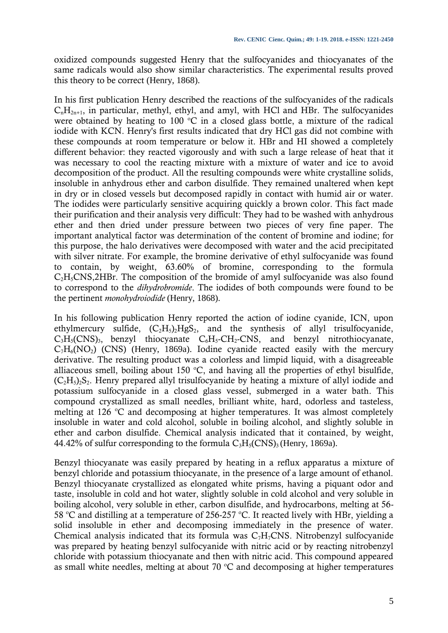oxidized compounds suggested Henry that the sulfocyanides and thiocyanates of the same radicals would also show similar characteristics. The experimental results proved this theory to be correct (Henry, 1868).

In his first publication Henry described the reactions of the sulfocyanides of the radicals  $C_nH_{2n+1}$ , in particular, methyl, ethyl, and amyl, with HCl and HBr. The sulfocyanides were obtained by heating to 100  $\degree$ C in a closed glass bottle, a mixture of the radical iodide with KCN. Henry's first results indicated that dry HCl gas did not combine with these compounds at room temperature or below it. HBr and HI showed a completely different behavior: they reacted vigorously and with such a large release of heat that it was necessary to cool the reacting mixture with a mixture of water and ice to avoid decomposition of the product. All the resulting compounds were white crystalline solids, insoluble in anhydrous ether and carbon disulfide. They remained unaltered when kept in dry or in closed vessels but decomposed rapidly in contact with humid air or water. The iodides were particularly sensitive acquiring quickly a brown color. This fact made their purification and their analysis very difficult: They had to be washed with anhydrous ether and then dried under pressure between two pieces of very fine paper. The important analytical factor was determination of the content of bromine and iodine; for this purpose, the halo derivatives were decomposed with water and the acid precipitated with silver nitrate. For example, the bromine derivative of ethyl sulfocyanide was found to contain, by weight, 63.60% of bromine, corresponding to the formula  $C<sub>2</sub>H<sub>5</sub>CNS,2HBr.$  The composition of the bromide of amyl sulfocyanide was also found to correspond to the *dihydrobromide*. The iodides of both compounds were found to be the pertinent *monohydroiodide* (Henry, 1868).

In his following publication Henry reported the action of iodine cyanide, ICN, upon ethylmercury sulfide,  $(C_2H_5)_2HgS_2$ , and the synthesis of allyl trisulfocyanide,  $C_3H_5(CNS)_3$ , benzyl thiocyanate  $C_6H_5-CH_2-CNS$ , and benzyl nitrothiocyanate,  $C_7H_6(NO_2)$  (CNS) (Henry, 1869a). Iodine cyanide reacted easily with the mercury derivative. The resulting product was a colorless and limpid liquid, with a disagreeable alliaceous smell, boiling about 150  $\degree$ C, and having all the properties of ethyl bisulfide,  $(C<sub>2</sub>H<sub>5</sub>)<sub>2</sub>S<sub>2</sub>$ . Henry prepared allyl trisulfocyanide by heating a mixture of allyl iodide and potassium sulfocyanide in a closed glass vessel, submerged in a water bath. This compound crystallized as small needles, brilliant white, hard, odorless and tasteless, melting at 126  $\degree$ C and decomposing at higher temperatures. It was almost completely insoluble in water and cold alcohol, soluble in boiling alcohol, and slightly soluble in ether and carbon disulfide. Chemical analysis indicated that it contained, by weight, 44.42% of sulfur corresponding to the formula  $C_3H_5(CNS)_3$  (Henry, 1869a).

Benzyl thiocyanate was easily prepared by heating in a reflux apparatus a mixture of benzyl chloride and potassium thiocyanate, in the presence of a large amount of ethanol. Benzyl thiocyanate crystallized as elongated white prisms, having a piquant odor and taste, insoluble in cold and hot water, slightly soluble in cold alcohol and very soluble in boiling alcohol, very soluble in ether, carbon disulfide, and hydrocarbons, melting at 56- 58 °C and distilling at a temperature of 256-257 °C. It reacted lively with HBr, yielding a solid insoluble in ether and decomposing immediately in the presence of water. Chemical analysis indicated that its formula was  $C_7H_7CNS$ . Nitrobenzyl sulfocyanide was prepared by heating benzyl sulfocyanide with nitric acid or by reacting nitrobenzyl chloride with potassium thiocyanate and then with nitric acid. This compound appeared as small white needles, melting at about 70  $^{\circ}$ C and decomposing at higher temperatures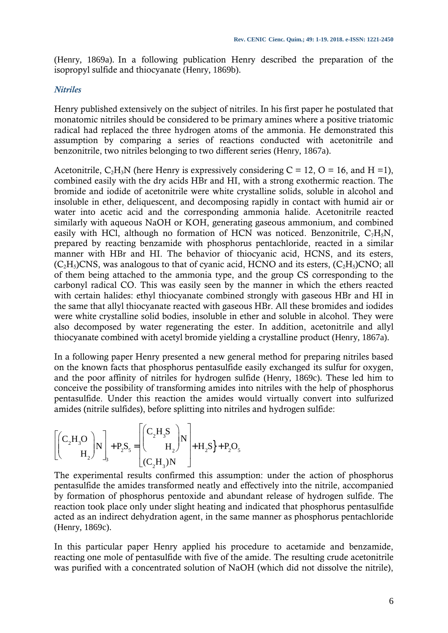(Henry, 1869a). In a following publication Henry described the preparation of the isopropyl sulfide and thiocyanate (Henry, 1869b).

#### *Nitriles*

Henry published extensively on the subject of nitriles. In his first paper he postulated that monatomic nitriles should be considered to be primary amines where a positive triatomic radical had replaced the three hydrogen atoms of the ammonia. He demonstrated this assumption by comparing a series of reactions conducted with acetonitrile and benzonitrile, two nitriles belonging to two different series (Henry, 1867a).

Acetonitrile, C<sub>2</sub>H<sub>3</sub>N (here Henry is expressively considering  $C = 12$ ,  $O = 16$ , and  $H = 1$ ), combined easily with the dry acids HBr and HI, with a strong exothermic reaction. The bromide and iodide of acetonitrile were white crystalline solids, soluble in alcohol and insoluble in ether, deliquescent, and decomposing rapidly in contact with humid air or water into acetic acid and the corresponding ammonia halide. Acetonitrile reacted similarly with aqueous NaOH or KOH, generating gaseous ammonium, and combined easily with HCl, although no formation of HCN was noticed. Benzonitrile,  $C_7H_5N$ , prepared by reacting benzamide with phosphorus pentachloride, reacted in a similar manner with HBr and HI. The behavior of thiocyanic acid, HCNS, and its esters,  $(C_2H_5)CNS$ , was analogous to that of cyanic acid, HCNO and its esters,  $(C_2H_5)CNO$ ; all of them being attached to the ammonia type, and the group CS corresponding to the carbonyl radical CO. This was easily seen by the manner in which the ethers reacted with certain halides: ethyl thiocyanate combined strongly with gaseous HBr and HI in the same that allyl thiocyanate reacted with gaseous HBr. All these bromides and iodides were white crystalline solid bodies, insoluble in ether and soluble in alcohol. They were also decomposed by water regenerating the ester. In addition, acetonitrile and allyl thiocyanate combined with acetyl bromide yielding a crystalline product (Henry, 1867a).

In a following paper Henry presented a new general method for preparing nitriles based on the known facts that phosphorus pentasulfide easily exchanged its sulfur for oxygen, and the poor affinity of nitriles for hydrogen sulfide (Henry, 1869c). These led him to conceive the possibility of transforming amides into nitriles with the help of phosphorus pentasulfide. Under this reaction the amides would virtually convert into sulfurized amides (nitrile sulfides), before splitting into nitriles and hydrogen sulfide:

$$
\left[ \begin{pmatrix} C_2 H_3 O \\ H_2 \end{pmatrix} N \right]_3 + P_2 S_5 = \begin{bmatrix} C_2 H_3 S \\ H_2 \end{bmatrix} N \\ (C_2 H_3) N \end{bmatrix} + H_2 S_3 + P_2 O_5
$$

The experimental results confirmed this assumption: under the action of phosphorus pentasulfide the amides transformed neatly and effectively into the nitrile, accompanied by formation of phosphorus pentoxide and abundant release of hydrogen sulfide. The reaction took place only under slight heating and indicated that phosphorus pentasulfide acted as an indirect dehydration agent, in the same manner as phosphorus pentachloride (Henry, 1869c).

In this particular paper Henry applied his procedure to acetamide and benzamide, reacting one mole of pentasulfide with five of the amide. The resulting crude acetonitrile was purified with a concentrated solution of NaOH (which did not dissolve the nitrile),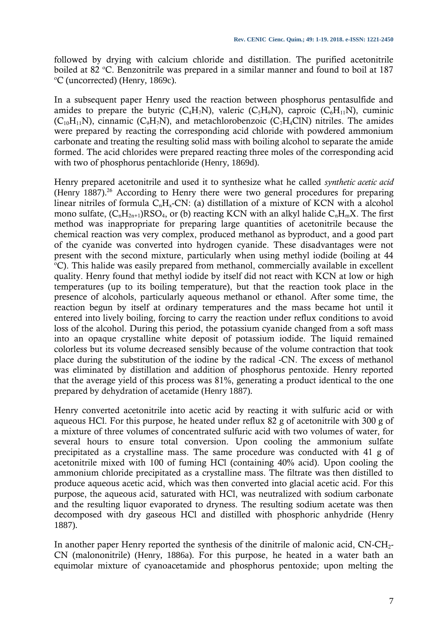followed by drying with calcium chloride and distillation. The purified acetonitrile boiled at 82 °C. Benzonitrile was prepared in a similar manner and found to boil at 187 <sup>o</sup>C (uncorrected) (Henry, 1869c).

In a subsequent paper Henry used the reaction between phosphorus pentasulfide and amides to prepare the butyric ( $C_4H_7N$ ), valeric ( $C_5H_9N$ ), caproic ( $C_6H_{11}N$ ), cuminic  $(C_{10}H_{11}N)$ , cinnamic  $(C_9H_7N)$ , and metachlorobenzoic  $(C_7H_4CN)$  nitriles. The amides were prepared by reacting the corresponding acid chloride with powdered ammonium carbonate and treating the resulting solid mass with boiling alcohol to separate the amide formed. The acid chlorides were prepared reacting three moles of the corresponding acid with two of phosphorus pentachloride (Henry, 1869d).

Henry prepared acetonitrile and used it to synthesize what he called *synthetic acetic acid* (Henry 1887).<sup>26</sup> According to Henry there were two general procedures for preparing linear nitriles of formula  $C_nH_x$ -CN: (a) distillation of a mixture of KCN with a alcohol mono sulfate,  $(C_nH_{2n+1})RSO_4$ , or (b) reacting KCN with an alkyl halide  $C_nH_mX$ . The first method was inappropriate for preparing large quantities of acetonitrile because the chemical reaction was very complex, produced methanol as byproduct, and a good part of the cyanide was converted into hydrogen cyanide. These disadvantages were not present with the second mixture, particularly when using methyl iodide (boiling at 44 <sup>o</sup>C). This halide was easily prepared from methanol, commercially available in excellent quality. Henry found that methyl iodide by itself did not react with KCN at low or high temperatures (up to its boiling temperature), but that the reaction took place in the presence of alcohols, particularly aqueous methanol or ethanol. After some time, the reaction begun by itself at ordinary temperatures and the mass became hot until it entered into lively boiling, forcing to carry the reaction under reflux conditions to avoid loss of the alcohol. During this period, the potassium cyanide changed from a soft mass into an opaque crystalline white deposit of potassium iodide. The liquid remained colorless but its volume decreased sensibly because of the volume contraction that took place during the substitution of the iodine by the radical -CN. The excess of methanol was eliminated by distillation and addition of phosphorus pentoxide. Henry reported that the average yield of this process was 81%, generating a product identical to the one prepared by dehydration of acetamide (Henry 1887).

Henry converted acetonitrile into acetic acid by reacting it with sulfuric acid or with aqueous HCl. For this purpose, he heated under reflux 82 g of acetonitrile with 300 g of a mixture of three volumes of concentrated sulfuric acid with two volumes of water, for several hours to ensure total conversion. Upon cooling the ammonium sulfate precipitated as a crystalline mass. The same procedure was conducted with 41 g of acetonitrile mixed with 100 of fuming HCl (containing 40% acid). Upon cooling the ammonium chloride precipitated as a crystalline mass. The filtrate was then distilled to produce aqueous acetic acid, which was then converted into glacial acetic acid. For this purpose, the aqueous acid, saturated with HCl, was neutralized with sodium carbonate and the resulting liquor evaporated to dryness. The resulting sodium acetate was then decomposed with dry gaseous HCl and distilled with phosphoric anhydride (Henry 1887).

In another paper Henry reported the synthesis of the dinitrile of malonic acid, CN-CH<sub>2</sub>-CN (malononitrile) (Henry, 1886a). For this purpose, he heated in a water bath an equimolar mixture of cyanoacetamide and phosphorus pentoxide; upon melting the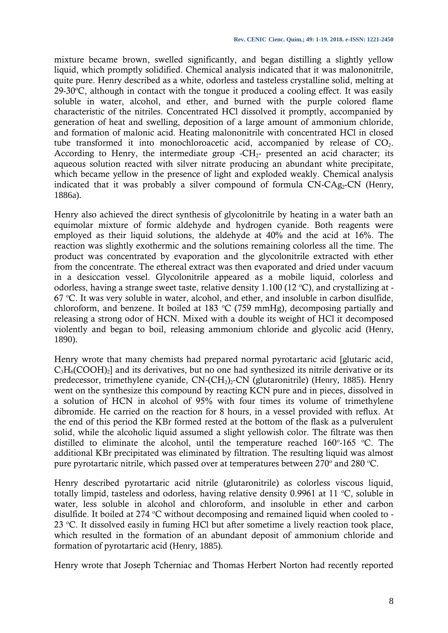mixture became brown, swelled significantly, and began distilling a slightly yellow liquid, which promptly solidified. Chemical analysis indicated that it was malononitrile, quite pure. Henry described as a white, odorless and tasteless crystalline solid, melting at 29-30 $^{\circ}$ C, although in contact with the tongue it produced a cooling effect. It was easily soluble in water, alcohol, and ether, and burned with the purple colored flame characteristic of the nitriles. Concentrated HCl dissolved it promptly, accompanied by generation of heat and swelling, deposition of a large amount of ammonium chloride, and formation of malonic acid. Heating malononitrile with concentrated HCl in closed tube transformed it into monochloroacetic acid, accompanied by release of  $CO<sub>2</sub>$ . According to Henry, the intermediate group  $-CH_{2}$ - presented an acid character; its aqueous solution reacted with silver nitrate producing an abundant white precipitate, which became yellow in the presence of light and exploded weakly. Chemical analysis indicated that it was probably a silver compound of formula  $CN-CAg<sub>2</sub>-CN$  (Henry, 1886a).

Henry also achieved the direct synthesis of glycolonitrile by heating in a water bath an equimolar mixture of formic aldehyde and hydrogen cyanide. Both reagents were employed as their liquid solutions, the aldehyde at 40% and the acid at 16%. The reaction was slightly exothermic and the solutions remaining colorless all the time. The product was concentrated by evaporation and the glycolonitrile extracted with ether from the concentrate. The ethereal extract was then evaporated and dried under vacuum in a desiccation vessel. Glycolonitrile appeared as a mobile liquid, colorless and odorless, having a strange sweet taste, relative density 1.100 (12 °C), and crystallizing at - $67$  °C. It was very soluble in water, alcohol, and ether, and insoluble in carbon disulfide, chloroform, and benzene. It boiled at 183  $\degree$ C (759 mmHg), decomposing partially and releasing a strong odor of HCN. Mixed with a double its weight of HCl it decomposed violently and began to boil, releasing ammonium chloride and glycolic acid (Henry, 1890).

Henry wrote that many chemists had prepared normal pyrotartaric acid [glutaric acid,  $C_3H_6(COOH)_2$ ] and its derivatives, but no one had synthesized its nitrile derivative or its predecessor, trimethylene cyanide,  $CN-(CH<sub>2</sub>)<sub>2</sub>$ -CN (glutaronitrile) (Henry, 1885). Henry went on the synthesize this compound by reacting KCN pure and in pieces, dissolved in a solution of HCN in alcohol of 95% with four times its volume of trimethylene dibromide. He carried on the reaction for 8 hours, in a vessel provided with reflux. At the end of this period the KBr formed rested at the bottom of the flask as a pulverulent solid, while the alcoholic liquid assumed a slight yellowish color. The filtrate was then distilled to eliminate the alcohol, until the temperature reached  $160^{\circ}$ -165 °C. The additional KBr precipitated was eliminated by filtration. The resulting liquid was almost pure pyrotartaric nitrile, which passed over at temperatures between 270 $^{\circ}$  and 280  $^{\circ}$ C.

Henry described pyrotartaric acid nitrile (glutaronitrile) as colorless viscous liquid, totally limpid, tasteless and odorless, having relative density  $0.9961$  at 11 °C, soluble in water, less soluble in alcohol and chloroform, and insoluble in ether and carbon disulfide. It boiled at 274  $\degree$ C without decomposing and remained liquid when cooled to -23  $°C$ . It dissolved easily in fuming HCl but after sometime a lively reaction took place, which resulted in the formation of an abundant deposit of ammonium chloride and formation of pyrotartaric acid (Henry, 1885).

Henry wrote that Joseph Tcherniac and Thomas Herbert Norton had recently reported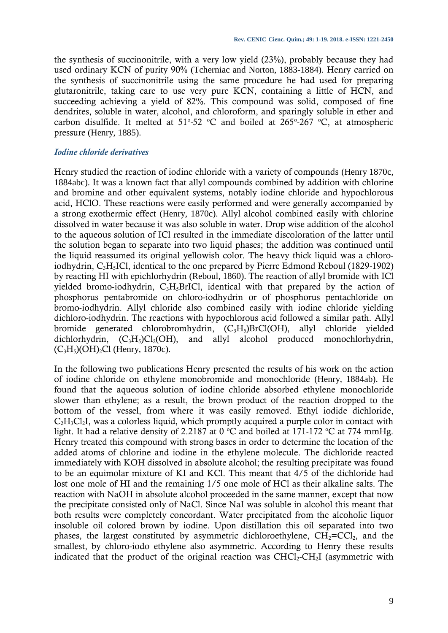the synthesis of succinonitrile, with a very low yield (23%), probably because they had used ordinary KCN of purity 90% (Tcherniac and Norton, 1883-1884). Henry carried on the synthesis of succinonitrile using the same procedure he had used for preparing glutaronitrile, taking care to use very pure KCN, containing a little of HCN, and succeeding achieving a yield of 82%. This compound was solid, composed of fine dendrites, soluble in water, alcohol, and chloroform, and sparingly soluble in ether and carbon disulfide. It melted at  $51^{\circ}$ -52 °C and boiled at 265°-267 °C, at atmospheric pressure (Henry, 1885).

# *Iodine chloride derivatives*

Henry studied the reaction of iodine chloride with a variety of compounds (Henry 1870c, 1884abc). It was a known fact that allyl compounds combined by addition with chlorine and bromine and other equivalent systems, notably iodine chloride and hypochlorous acid, HClO. These reactions were easily performed and were generally accompanied by a strong exothermic effect (Henry, 1870c). Allyl alcohol combined easily with chlorine dissolved in water because it was also soluble in water. Drop wise addition of the alcohol to the aqueous solution of ICl resulted in the immediate discoloration of the latter until the solution began to separate into two liquid phases; the addition was continued until the liquid reassumed its original yellowish color. The heavy thick liquid was a chloroiodhydrin, C3H5ICl, identical to the one prepared by Pierre Edmond Reboul (1829-1902) by reacting HI with epichlorhydrin (Reboul, 1860). The reaction of allyl bromide with ICl yielded bromo-iodhydrin,  $C_3H_5BrICl$ , identical with that prepared by the action of phosphorus pentabromide on chloro-iodhydrin or of phosphorus pentachloride on bromo-iodhydrin. Allyl chloride also combined easily with iodine chloride yielding dichloro-iodhydrin. The reactions with hypochlorous acid followed a similar path. Allyl bromide generated chlorobromhydrin,  $(C_3H_5)BrCl(OH)$ , allyl chloride yielded dichlorhydrin,  $(C_3H_5)Cl_2(OH)$ , and allyl alcohol produced monochlorhydrin,  $(C_3H_5)(OH)_2Cl$  (Henry, 1870c).

In the following two publications Henry presented the results of his work on the action of iodine chloride on ethylene monobromide and monochloride (Henry, 1884ab). He found that the aqueous solution of iodine chloride absorbed ethylene monochloride slower than ethylene; as a result, the brown product of the reaction dropped to the bottom of the vessel, from where it was easily removed. Ethyl iodide dichloride,  $C_2H_3Cl_2I$ , was a colorless liquid, which promptly acquired a purple color in contact with light. It had a relative density of 2.2187 at 0  $\degree$ C and boiled at 171-172  $\degree$ C at 774 mmHg. Henry treated this compound with strong bases in order to determine the location of the added atoms of chlorine and iodine in the ethylene molecule. The dichloride reacted immediately with KOH dissolved in absolute alcohol; the resulting precipitate was found to be an equimolar mixture of KI and KCl. This meant that 4/5 of the dichloride had lost one mole of HI and the remaining 1/5 one mole of HCl as their alkaline salts. The reaction with NaOH in absolute alcohol proceeded in the same manner, except that now the precipitate consisted only of NaCl. Since NaI was soluble in alcohol this meant that both results were completely concordant. Water precipitated from the alcoholic liquor insoluble oil colored brown by iodine. Upon distillation this oil separated into two phases, the largest constituted by asymmetric dichloroethylene,  $CH_2=CCl_2$ , and the smallest, by chloro-iodo ethylene also asymmetric. According to Henry these results indicated that the product of the original reaction was  $CHCl<sub>2</sub>-CH<sub>2</sub>I$  (asymmetric with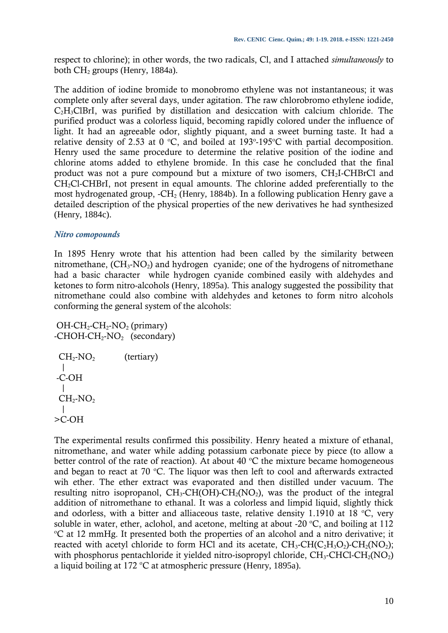respect to chlorine); in other words, the two radicals, Cl, and I attached *simultaneously* to both  $CH<sub>2</sub>$  groups (Henry, 1884a).

The addition of iodine bromide to monobromo ethylene was not instantaneous; it was complete only after several days, under agitation. The raw chlorobromo ethylene iodide,  $C<sub>2</sub>H<sub>3</sub>ClBrI$ , was purified by distillation and desiccation with calcium chloride. The purified product was a colorless liquid, becoming rapidly colored under the influence of light. It had an agreeable odor, slightly piquant, and a sweet burning taste. It had a relative density of 2.53 at 0 °C, and boiled at 193°-195°C with partial decomposition. Henry used the same procedure to determine the relative position of the iodine and chlorine atoms added to ethylene bromide. In this case he concluded that the final product was not a pure compound but a mixture of two isomers, CH2I-CHBrCl and CH2Cl-CHBrI, not present in equal amounts. The chlorine added preferentially to the most hydrogenated group,  $-CH_2$  (Henry, 1884b). In a following publication Henry gave a detailed description of the physical properties of the new derivatives he had synthesized (Henry, 1884c).

#### *Nitro comopounds*

In 1895 Henry wrote that his attention had been called by the similarity between nitromethane,  $(CH_3\text{-}NO_2)$  and hydrogen cyanide; one of the hydrogens of nitromethane had a basic character while hydrogen cyanide combined easily with aldehydes and ketones to form nitro-alcohols (Henry, 1895a). This analogy suggested the possibility that nitromethane could also combine with aldehydes and ketones to form nitro alcohols conforming the general system of the alcohols:

```
OH-CH<sub>2</sub>-CH<sub>2</sub>-NO<sub>2</sub> (primary)
-CHOH-CH<sub>2</sub>-NO<sub>2</sub> (secondary)
  CH<sub>2</sub>-NO<sub>2</sub> (tertiary) 
    |
 -C-OH
\blacksquareCH<sub>2</sub>-NO<sub>2</sub>\blacksquare>C-OH
```
The experimental results confirmed this possibility. Henry heated a mixture of ethanal, nitromethane, and water while adding potassium carbonate piece by piece (to allow a better control of the rate of reaction). At about  $40\degree C$  the mixture became homogeneous and began to react at 70  $^{\circ}$ C. The liquor was then left to cool and afterwards extracted wih ether. The ether extract was evaporated and then distilled under vacuum. The resulting nitro isopropanol,  $CH_3\text{-CH(OH)-CH}_2(NO_2)$ , was the product of the integral addition of nitromethane to ethanal. It was a colorless and limpid liquid, slightly thick and odorless, with a bitter and alliaceous taste, relative density 1.1910 at 18  $^{\circ}$ C, very soluble in water, ether, aclohol, and acetone, melting at about -20  $^{\circ}$ C, and boiling at 112 <sup>o</sup>C at 12 mmHg. It presented both the properties of an alcohol and a nitro derivative; it reacted with acetyl chloride to form HCl and its acetate,  $CH_3\text{-}CH(C_2H_3O_2)\text{-}CH_2(NO_2);$ with phosphorus pentachloride it yielded nitro-isopropyl chloride,  $CH_3\text{-CHCl-CH}_2(NO_2)$ a liquid boiling at 172 °C at atmospheric pressure (Henry, 1895a).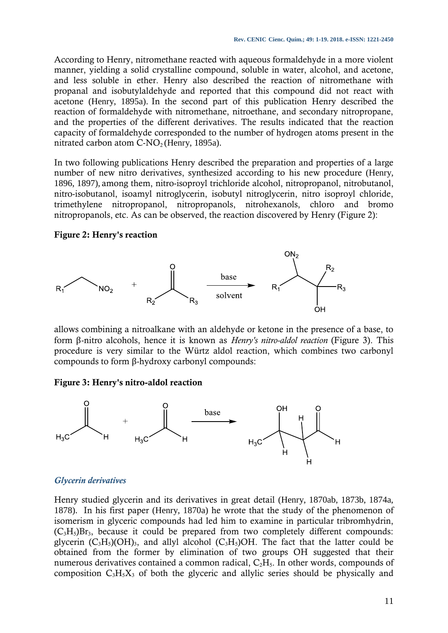According to Henry, nitromethane reacted with aqueous formaldehyde in a more violent manner, yielding a solid crystalline compound, soluble in water, alcohol, and acetone, and less soluble in ether. Henry also described the reaction of nitromethane with propanal and isobutylaldehyde and reported that this compound did not react with acetone (Henry, 1895a). In the second part of this publication Henry described the reaction of formaldehyde with nitromethane, nitroethane, and secondary nitropropane, and the properties of the different derivatives. The results indicated that the reaction capacity of formaldehyde corresponded to the number of hydrogen atoms present in the nitrated carbon atom  $C\text{-}NO<sub>2</sub>$  (Henry, 1895a).

In two following publications Henry described the preparation and properties of a large number of new nitro derivatives, synthesized according to his new procedure (Henry, 1896, 1897), among them, nitro-isoproyl trichloride alcohol, nitropropanol, nitrobutanol, nitro-isobutanol, isoamyl nitroglycerin, isobutyl nitroglycerin, nitro isoproyl chloride, trimethylene nitropropanol, nitropropanols, nitrohexanols, chloro and bromo nitropropanols, etc. As can be observed, the reaction discovered by Henry (Figure 2):

# **Figure 2: Henry's reaction**



allows combining a nitroalkane with an aldehyde or ketone in the presence of a base, to form β-nitro alcohols, hence it is known as *Henry's nitro-aldol reaction* (Figure 3). This procedure is very similar to the Würtz aldol reaction, which combines two carbonyl compounds to form β-hydroxy carbonyl compounds:

# **Figure 3: Henry's nitro-aldol reaction**



# *Glycerin derivatives*

Henry studied glycerin and its derivatives in great detail (Henry, 1870ab, 1873b, 1874a, 1878). In his first paper (Henry, 1870a) he wrote that the study of the phenomenon of isomerism in glyceric compounds had led him to examine in particular tribromhydrin,  $(C_3H_5)Br_3$ , because it could be prepared from two completely different compounds: glycerin  $(C_3H_5)(OH)_{3}$ , and allyl alcohol  $(C_3H_5)OH$ . The fact that the latter could be obtained from the former by elimination of two groups OH suggested that their numerous derivatives contained a common radical, C<sub>2</sub>H<sub>5</sub>. In other words, compounds of composition  $C_3H_5X_3$  of both the glyceric and allylic series should be physically and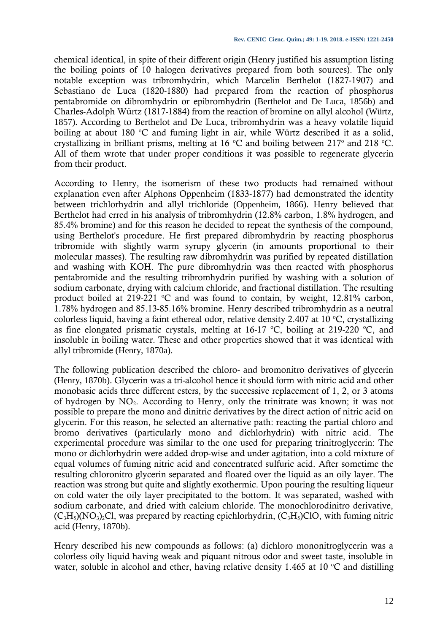chemical identical, in spite of their different origin (Henry justified his assumption listing the boiling points of 10 halogen derivatives prepared from both sources). The only notable exception was tribromhydrin, which Marcelin Berthelot (1827-1907) and Sebastiano de Luca (1820-1880) had prepared from the reaction of phosphorus pentabromide on dibromhydrin or epibromhydrin (Berthelot and De Luca, 1856b) and Charles-Adolph Würtz (1817-1884) from the reaction of bromine on allyl alcohol (Würtz, 1857). According to Berthelot and De Luca, tribromhydrin was a heavy volatile liquid boiling at about 180  $\degree$ C and fuming light in air, while Würtz described it as a solid, crystallizing in brilliant prisms, melting at 16  $\degree$ C and boiling between 217 $\degree$  and 218  $\degree$ C. All of them wrote that under proper conditions it was possible to regenerate glycerin from their product.

According to Henry, the isomerism of these two products had remained without explanation even after Alphons Oppenheim (1833-1877) had demonstrated the identity between trichlorhydrin and allyl trichloride (Oppenheim, 1866). Henry believed that Berthelot had erred in his analysis of tribromhydrin (12.8% carbon, 1.8% hydrogen, and 85.4% bromine) and for this reason he decided to repeat the synthesis of the compound, using Berthelot's procedure. He first prepared dibromhydrin by reacting phosphorus tribromide with slightly warm syrupy glycerin (in amounts proportional to their molecular masses). The resulting raw dibromhydrin was purified by repeated distillation and washing with KOH. The pure dibromhydrin was then reacted with phosphorus pentabromide and the resulting tribromhydrin purified by washing with a solution of sodium carbonate, drying with calcium chloride, and fractional distillation. The resulting product boiled at 219-221  $\degree$ C and was found to contain, by weight, 12.81% carbon, 1.78% hydrogen and 85.13-85.16% bromine. Henry described tribromhydrin as a neutral colorless liquid, having a faint ethereal odor, relative density 2.407 at 10  $^{\circ}$ C, crystallizing as fine elongated prismatic crystals, melting at 16-17  $^{\circ}$ C, boiling at 219-220  $^{\circ}$ C, and insoluble in boiling water. These and other properties showed that it was identical with allyl tribromide (Henry, 1870a).

The following publication described the chloro- and bromonitro derivatives of glycerin (Henry, 1870b). Glycerin was a tri-alcohol hence it should form with nitric acid and other monobasic acids three different esters, by the successive replacement of 1, 2, or 3 atoms of hydrogen by  $NO<sub>2</sub>$ . According to Henry, only the trinitrate was known; it was not possible to prepare the mono and dinitric derivatives by the direct action of nitric acid on glycerin. For this reason, he selected an alternative path: reacting the partial chloro and bromo derivatives (particularly mono and dichlorhydrin) with nitric acid. The experimental procedure was similar to the one used for preparing trinitroglycerin: The mono or dichlorhydrin were added drop-wise and under agitation, into a cold mixture of equal volumes of fuming nitric acid and concentrated sulfuric acid. After sometime the resulting chloronitro glycerin separated and floated over the liquid as an oily layer. The reaction was strong but quite and slightly exothermic. Upon pouring the resulting liqueur on cold water the oily layer precipitated to the bottom. It was separated, washed with sodium carbonate, and dried with calcium chloride. The monochlorodinitro derivative,  $(C_3H_5)(NO_3)_2Cl$ , was prepared by reacting epichlorhydrin,  $(C_3H_5)ClO$ , with fuming nitric acid (Henry, 1870b).

Henry described his new compounds as follows: (a) dichloro mononitroglycerin was a colorless oily liquid having weak and piquant nitrous odor and sweet taste, insoluble in water, soluble in alcohol and ether, having relative density 1.465 at 10  $\degree$ C and distilling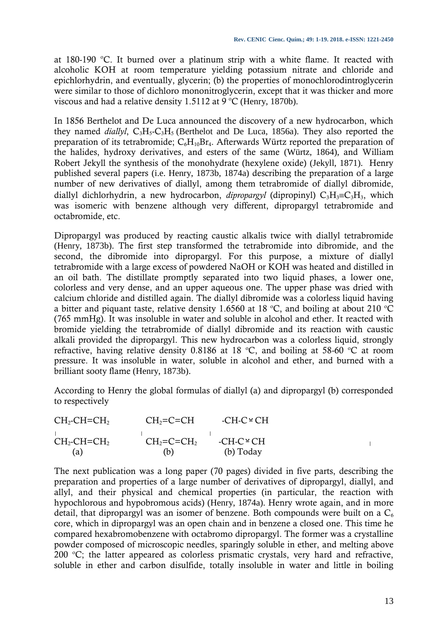at 180-190  $°C$ . It burned over a platinum strip with a white flame. It reacted with alcoholic KOH at room temperature yielding potassium nitrate and chloride and epichlorhydrin, and eventually, glycerin; (b) the properties of monochlorodintroglycerin were similar to those of dichloro mononitroglycerin, except that it was thicker and more viscous and had a relative density 1.5112 at 9 °C (Henry, 1870b).

In 1856 Berthelot and De Luca announced the discovery of a new hydrocarbon, which they named *diallyl*,  $C_3H_5-C_3H_5$  (Berthelot and De Luca, 1856a). They also reported the preparation of its tetrabromide;  $C_6H_{10}Br_4$ . Afterwards Würtz reported the preparation of the halides, hydroxy derivatives, and esters of the same (Würtz, 1864), and William Robert Jekyll the synthesis of the monohydrate (hexylene oxide) (Jekyll, 1871). Henry published several papers (i.e. Henry, 1873b, 1874a) describing the preparation of a large number of new derivatives of diallyl, among them tetrabromide of diallyl dibromide, diallyl dichlorhydrin, a new hydrocarbon, *dipropargyl* (dipropinyl)  $C_3H_3=C_3H_3$ , which was isomeric with benzene although very different, dipropargyl tetrabromide and octabromide, etc.

Dipropargyl was produced by reacting caustic alkalis twice with diallyl tetrabromide (Henry, 1873b). The first step transformed the tetrabromide into dibromide, and the second, the dibromide into dipropargyl. For this purpose, a mixture of diallyl tetrabromide with a large excess of powdered NaOH or KOH was heated and distilled in an oil bath. The distillate promptly separated into two liquid phases, a lower one, colorless and very dense, and an upper aqueous one. The upper phase was dried with calcium chloride and distilled again. The diallyl dibromide was a colorless liquid having a bitter and piquant taste, relative density 1.6560 at 18 °C, and boiling at about 210 °C (765 mmHg). It was insoluble in water and soluble in alcohol and ether. It reacted with bromide yielding the tetrabromide of diallyl dibromide and its reaction with caustic alkali provided the dipropargyl. This new hydrocarbon was a colorless liquid, strongly refractive, having relative density 0.8186 at 18 °C, and boiling at 58-60 °C at room pressure. It was insoluble in water, soluble in alcohol and ether, and burned with a brilliant sooty flame (Henry, 1873b).

According to Henry the global formulas of diallyl (a) and dipropargyl (b) corresponded to respectively

| $CH_2\text{-}CH=\text{-}CH_2$ | $CH2=C=CH$  | $-CH-C^{\sim}CH$  |  |
|-------------------------------|-------------|-------------------|--|
| $CH_2\text{-}CH=\text{-}CH_2$ | $CH2=C=CH2$ | $-CH-C^{\circ}CH$ |  |
| (a)                           | (b)         | (b) Today         |  |

The next publication was a long paper (70 pages) divided in five parts, describing the preparation and properties of a large number of derivatives of dipropargyl, diallyl, and allyl, and their physical and chemical properties (in particular, the reaction with hypochlorous and hypobromous acids) (Henry, 1874a). Henry wrote again, and in more detail, that dipropargyl was an isomer of benzene. Both compounds were built on a  $C_6$ core, which in dipropargyl was an open chain and in benzene a closed one. This time he compared hexabromobenzene with octabromo dipropargyl. The former was a crystalline powder composed of microscopic needles, sparingly soluble in ether, and melting above 200  $^{\circ}$ C; the latter appeared as colorless prismatic crystals, very hard and refractive, soluble in ether and carbon disulfide, totally insoluble in water and little in boiling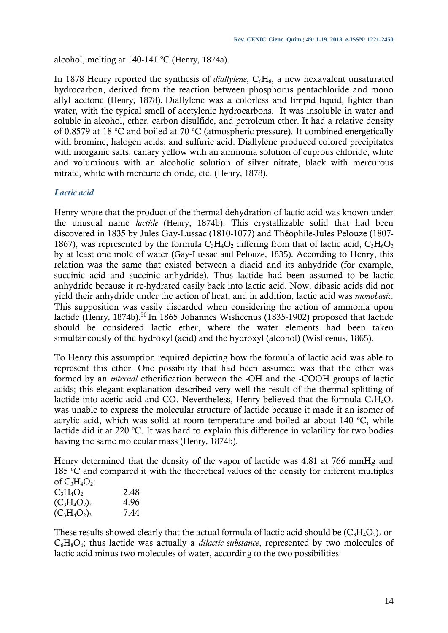alcohol, melting at  $140-141$  °C (Henry, 1874a).

In 1878 Henry reported the synthesis of *diallylene*, C<sub>6</sub>H<sub>8</sub>, a new hexavalent unsaturated hydrocarbon, derived from the reaction between phosphorus pentachloride and mono allyl acetone (Henry, 1878). Diallylene was a colorless and limpid liquid, lighter than water, with the typical smell of acetylenic hydrocarbons. It was insoluble in water and soluble in alcohol, ether, carbon disulfide, and petroleum ether. It had a relative density of 0.8579 at 18  $\degree$ C and boiled at 70  $\degree$ C (atmospheric pressure). It combined energetically with bromine, halogen acids, and sulfuric acid. Diallylene produced colored precipitates with inorganic salts: canary yellow with an ammonia solution of cuprous chloride, white and voluminous with an alcoholic solution of silver nitrate, black with mercurous nitrate, white with mercuric chloride, etc. (Henry, 1878).

# *Lactic acid*

Henry wrote that the product of the thermal dehydration of lactic acid was known under the unusual name *lactide* (Henry, 1874b). This crystallizable solid that had been discovered in 1835 by Jules Gay-Lussac (1810-1077) and Théophile-Jules Pelouze (1807- 1867), was represented by the formula  $C_3H_4O_2$  differing from that of lactic acid,  $C_3H_6O_3$ by at least one mole of water (Gay-Lussac and Pelouze, 1835). According to Henry, this relation was the same that existed between a diacid and its anhydride (for example, succinic acid and succinic anhydride). Thus lactide had been assumed to be lactic anhydride because it re-hydrated easily back into lactic acid. Now, dibasic acids did not yield their anhydride under the action of heat, and in addition, lactic acid was *monobasic.*  This supposition was easily discarded when considering the action of ammonia upon lactide (Henry, 1874b).<sup>50</sup> In 1865 Johannes Wislicenus (1835-1902) proposed that lactide should be considered lactic ether, where the water elements had been taken simultaneously of the hydroxyl (acid) and the hydroxyl (alcohol) (Wislicenus, 1865).

To Henry this assumption required depicting how the formula of lactic acid was able to represent this ether. One possibility that had been assumed was that the ether was formed by an *internal* etherification between the -OH and the -COOH groups of lactic acids; this elegant explanation described very well the result of the thermal splitting of lactide into acetic acid and CO. Nevertheless, Henry believed that the formula  $C_3H_4O_2$ was unable to express the molecular structure of lactide because it made it an isomer of acrylic acid, which was solid at room temperature and boiled at about  $140^{\circ}$ C, while lactide did it at 220  $\degree$ C. It was hard to explain this difference in volatility for two bodies having the same molecular mass (Henry, 1874b).

Henry determined that the density of the vapor of lactide was 4.81 at 766 mmHg and 185  $\degree$ C and compared it with the theoretical values of the density for different multiples of  $C_3H_4O_2$ :

| $C_3H_4O_2$     | 2.48 |
|-----------------|------|
| $(C_3H_4O_2)_2$ | 4.96 |
| $(C_3H_4O_2)_3$ | 7.44 |
|                 |      |

These results showed clearly that the actual formula of lactic acid should be  $(C_3H_4O_2)_2$  or C6H8O4; thus lactide was actually a *dilactic substance*, represented by two molecules of lactic acid minus two molecules of water, according to the two possibilities: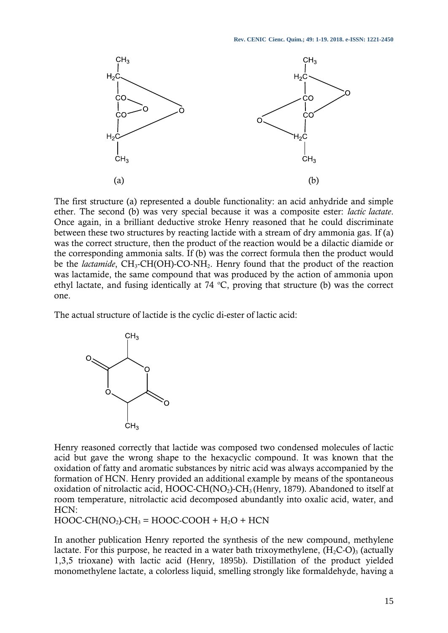

The first structure (a) represented a double functionality: an acid anhydride and simple ether. The second (b) was very special because it was a composite ester: *lactic lactate*. Once again, in a brilliant deductive stroke Henry reasoned that he could discriminate between these two structures by reacting lactide with a stream of dry ammonia gas. If (a) was the correct structure, then the product of the reaction would be a dilactic diamide or the corresponding ammonia salts. If (b) was the correct formula then the product would be the *lactamide*, CH<sub>3</sub>-CH(OH)-CO-NH<sub>2</sub>. Henry found that the product of the reaction was lactamide, the same compound that was produced by the action of ammonia upon ethyl lactate, and fusing identically at 74  $\degree$ C, proving that structure (b) was the correct one.

The actual structure of lactide is the cyclic di-ester of lactic acid:



Henry reasoned correctly that lactide was composed two condensed molecules of lactic acid but gave the wrong shape to the hexacyclic compound. It was known that the oxidation of fatty and aromatic substances by nitric acid was always accompanied by the formation of HCN. Henry provided an additional example by means of the spontaneous oxidation of nitrolactic acid, HOOC-CH(NO<sub>2</sub>)-CH<sub>3</sub> (Henry, 1879). Abandoned to itself at room temperature, nitrolactic acid decomposed abundantly into oxalic acid, water, and HCN:

 $HOOC-CH(NO<sub>2</sub>)-CH<sub>3</sub> = HOOC-COOH + H<sub>2</sub>O + HCN$ 

In another publication Henry reported the synthesis of the new compound, methylene lactate. For this purpose, he reacted in a water bath trixoymethylene,  $(H_2C-O)$ <sub>3</sub> (actually 1,3,5 trioxane) with lactic acid (Henry, 1895b). Distillation of the product yielded monomethylene lactate, a colorless liquid, smelling strongly like formaldehyde, having a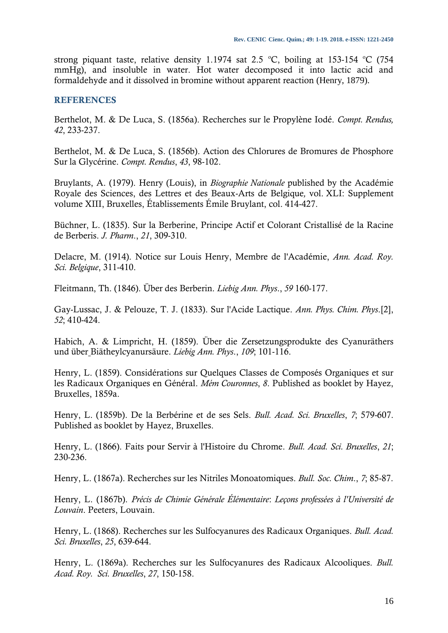strong piquant taste, relative density 1.1974 sat 2.5 °C, boiling at 153-154 °C (754 mmHg), and insoluble in water. Hot water decomposed it into lactic acid and formaldehyde and it dissolved in bromine without apparent reaction (Henry, 1879).

#### **REFERENCES**

Berthelot, M. & De Luca, S. (1856a). Recherches sur le Propylène Iodé. *Compt. Rendus, 42*, 233-237.

Berthelot, M. & De Luca, S. (1856b). Action des Chlorures de Bromures de Phosphore Sur la Glycérine. *Compt. Rendus*, *43*, 98-102.

Bruylants, A. (1979). Henry (Louis), in *Biographie Nationale* published by the Académie Royale des Sciences, des Lettres et des Beaux-Arts de Belgique*,* vol. XLI: Supplement volume XIII, Bruxelles, Établissements Émile Bruylant, col. 414-427.

Büchner, L. (1835). Sur la Berberine, Principe Actif et Colorant Cristallisé de la Racine de Berberis. *J. Pharm*., *21*, 309-310.

Delacre, M. (1914). Notice sur Louis Henry, Membre de l'Académie, *Ann. Acad. Roy. Sci. Belgique*, 311-410.

Fleitmann, Th. (1846). Über des Berberin. *Liebig Ann. Phys*., *59* 160-177.

Gay-Lussac, J. & Pelouze, T. J. (1833). Sur l'Acide Lactique. *Ann. Phys. Chim. Phys*.[2], *52*; 410-424.

Habich, A. & Limpricht, H. (1859). Über die Zersetzungsprodukte des Cyanuräthers und über Biätheylcyanursäure. *Liebig Ann. Phys*., *109*; 101-116.

Henry, L. (1859). Considérations sur Quelques Classes de Composés Organiques et sur les Radicaux Organiques en Général. *Mém Couronnes*, *8*. Published as booklet by Hayez, Bruxelles, 1859a.

Henry, L. (1859b). De la Berbérine et de ses Sels. *Bull. Acad. Sci. Bruxelles*, *7*; 579-607. Published as booklet by Hayez, Bruxelles.

Henry, L. (1866). Faits pour Servir à l'Histoire du Chrome. *Bull. Acad. Sci. Bruxelles*, *21*; 230-236.

Henry, L. (1867a). Recherches sur les Nitriles Monoatomiques. *Bull. Soc. Chim*., *7*; 85-87.

Henry, L. (1867b). *Précis de Chimie Générale Élémentaire*: *Leçons professées à l'Université de Louvain*. Peeters, Louvain.

Henry, L. (1868). Recherches sur les Sulfocyanures des Radicaux Organiques. *Bull. Acad. Sci. Bruxelles*, *25*, 639-644.

Henry, L. (1869a). Recherches sur les Sulfocyanures des Radicaux Alcooliques. *Bull. Acad. Roy. Sci. Bruxelles*, *27*, 150-158.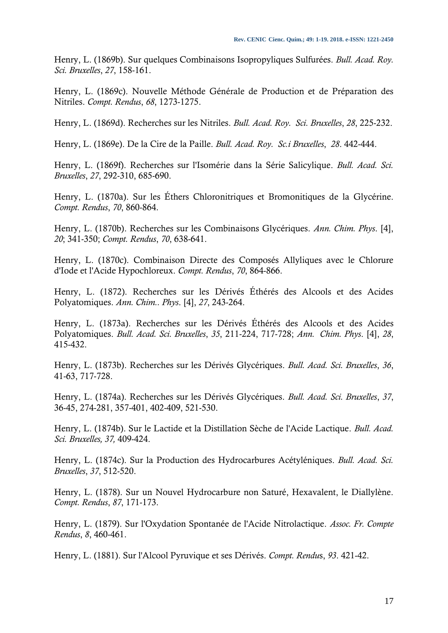Henry, L. (1869b). Sur quelques Combinaisons Isopropyliques Sulfurées. *Bull. Acad. Roy. Sci. Bruxelles*, *27*, 158-161.

Henry, L. (1869c). Nouvelle Méthode Générale de Production et de Préparation des Nitriles. *Compt. Rendus*, *68*, 1273-1275.

Henry, L. (1869d). Recherches sur les Nitriles. *Bull. Acad. Roy. Sci. Bruxelles*, *28*, 225-232.

Henry, L. (1869e). De la Cire de la Paille. *Bull. Acad. Roy. Sc.i Bruxelles*, *28*. 442-444.

Henry, L. (1869f). Recherches sur l'Isomérie dans la Série Salicylique. *Bull. Acad. Sci. Bruxelles*, *27*, 292-310, 685-690.

Henry, L. (1870a). Sur les Éthers Chloronitriques et Bromonitiques de la Glycérine. *Compt. Rendus*, *70*, 860-864.

Henry, L. (1870b). Recherches sur les Combinaisons Glycériques. *Ann. Chim. Phys*. [4], *20*; 341-350; *Compt. Rendus*, *70*, 638-641.

Henry, L. (1870c). Combinaison Directe des Composés Allyliques avec le Chlorure d'Iode et l'Acide Hypochloreux. *Compt. Rendus*, *70*, 864-866.

Henry, L. (1872). Recherches sur les Dérivés Éthérés des Alcools et des Acides Polyatomiques. *Ann. Chim.. Phys*. [4], *27*, 243-264.

Henry, L. (1873a). Recherches sur les Dérivés Éthérés des Alcools et des Acides Polyatomiques. *Bull. Acad. Sci. Bruxelles*, *35*, 211-224, 717-728; *Ann. Chim. Phys*. [4], *28*, 415-432.

Henry, L. (1873b). Recherches sur les Dérivés Glycériques. *Bull. Acad. Sci. Bruxelles*, *36*, 41-63, 717-728.

Henry, L. (1874a). Recherches sur les Dérivés Glycériques. *Bull. Acad. Sci. Bruxelles*, *37*, 36-45, 274-281, 357-401, 402-409, 521-530.

Henry, L. (1874b). Sur le Lactide et la Distillation Sèche de l'Acide Lactique. *Bull. Acad. Sci. Bruxelles, 37,* 409-424.

Henry, L. (1874c). Sur la Production des Hydrocarbures Acétyléniques. *Bull. Acad. Sci. Bruxelles*, *37*, 512-520.

Henry, L. (1878). Sur un Nouvel Hydrocarbure non Saturé, Hexavalent, le Diallylène. *Compt. Rendus*, *87*, 171-173.

Henry, L. (1879). Sur l'Oxydation Spontanée de l'Acide Nitrolactique. *Assoc. Fr. Compte Rendus*, *8*, 460-461.

Henry, L. (1881). Sur l'Alcool Pyruvique et ses Dérivés. *Compt. Rendu*s, *93*. 421-42.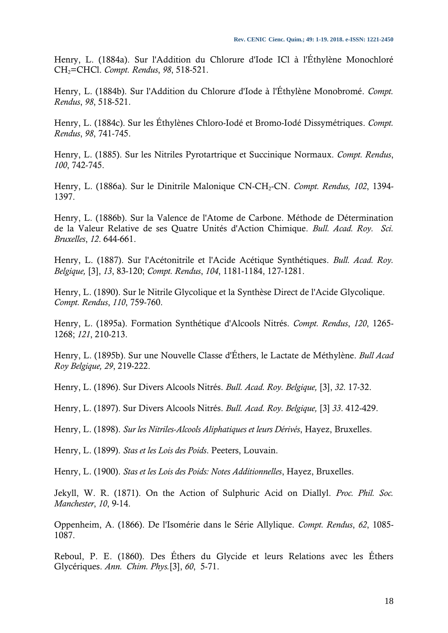Henry, L. (1884a). Sur l'Addition du Chlorure d'Iode ICl à l'Éthylène Monochloré CH2=CHCl. *Compt. Rendus*, *98*, 518-521.

Henry, L. (1884b). Sur l'Addition du Chlorure d'Iode à l'Éthylène Monobromé. *Compt. Rendus*, *98*, 518-521.

Henry, L. (1884c). Sur les Éthylènes Chloro-Iodé et Bromo-Iodé Dissymétriques. *Compt. Rendus*, *98*, 741-745.

Henry, L. (1885). Sur les Nitriles Pyrotartrique et Succinique Normaux. *Compt. Rendus*, *100*, 742-745.

Henry, L. (1886a). Sur le Dinitrile Malonique CN-CH2-CN. *Compt. Rendus, 102*, 1394- 1397.

Henry, L. (1886b). Sur la Valence de l'Atome de Carbone. Méthode de Détermination de la Valeur Relative de ses Quatre Unités d'Action Chimique. *Bull. Acad. Roy. Sci. Bruxelles*, *12*. 644-661.

Henry, L. (1887). Sur l'Acétonitrile et l'Acide Acétique Synthétiques. *Bull. Acad. Roy. Belgique,* [3], *13*, 83-120; *Compt. Rendus*, *104*, 1181-1184, 127-1281.

Henry, L. (1890). Sur le Nitrile Glycolique et la Synthèse Direct de l'Acide Glycolique. *Compt. Rendus*, *110*, 759-760.

Henry, L. (1895a). Formation Synthétique d'Alcools Nitrés. *Compt. Rendus*, *120*, 1265- 1268; *121*, 210-213.

Henry, L. (1895b). Sur une Nouvelle Classe d'Éthers, le Lactate de Méthylène. *Bull Acad Roy Belgique, 29*, 219-222.

Henry, L. (1896). Sur Divers Alcools Nitrés. *Bull. Acad. Roy. Belgique,* [3], *32*. 17-32.

Henry, L. (1897). Sur Divers Alcools Nitrés. *Bull. Acad. Roy. Belgique,* [3] *33*. 412-429.

Henry, L. (1898). *Sur les Nitriles-Alcools Aliphatiques et leurs Dérivés*, Hayez, Bruxelles.

Henry, L. (1899). *Stas et les Lois des Poids*. Peeters, Louvain.

Henry, L. (1900). *Stas et les Lois des Poids: Notes Additionnelles*, Hayez, Bruxelles.

Jekyll, W. R. (1871). On the Action of Sulphuric Acid on Diallyl. *Proc. Phil. Soc. Manchester*, *10*, 9-14.

Oppenheim, A. (1866). De l'Isomérie dans le Série Allylique. *Compt. Rendus*, *62*, 1085- 1087.

Reboul, P. E. (1860). Des Éthers du Glycide et leurs Relations avec les Éthers Glycériques. *Ann. Chim. Phys.*[3], *60*, 5-71.